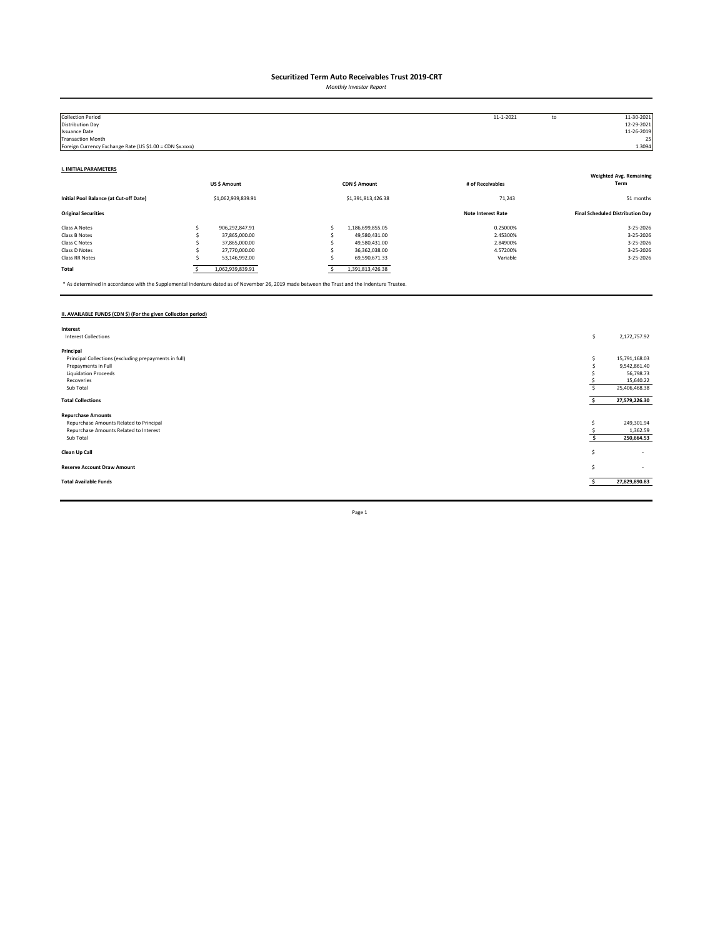*Monthly Investor Report*

| <b>Collection Period</b>                                  |                    |  |                    | 11-1-2021                 | to | 11-30-2021                              |
|-----------------------------------------------------------|--------------------|--|--------------------|---------------------------|----|-----------------------------------------|
| Distribution Day                                          |                    |  |                    |                           |    | 12-29-2021                              |
| <b>Issuance Date</b>                                      |                    |  |                    |                           |    | 11-26-2019                              |
| <b>Transaction Month</b>                                  |                    |  |                    |                           |    | 25                                      |
| Foreign Currency Exchange Rate (US \$1.00 = CDN \$x.xxxx) |                    |  |                    |                           |    | 1.3094                                  |
|                                                           |                    |  |                    |                           |    |                                         |
| <b>I. INITIAL PARAMETERS</b>                              |                    |  |                    |                           |    |                                         |
|                                                           |                    |  |                    |                           |    | <b>Weighted Avg. Remaining</b>          |
|                                                           | US\$ Amount        |  | CDN \$ Amount      | # of Receivables          |    | Term                                    |
| Initial Pool Balance (at Cut-off Date)                    | \$1,062,939,839.91 |  | \$1,391,813,426.38 | 71,243                    |    | 51 months                               |
| <b>Original Securities</b>                                |                    |  |                    | <b>Note Interest Rate</b> |    | <b>Final Scheduled Distribution Day</b> |
| Class A Notes                                             | 906,292,847.91     |  | 1,186,699,855.05   | 0.25000%                  |    | 3-25-2026                               |
| Class B Notes                                             | 37,865,000.00      |  | 49,580,431.00      | 2.45300%                  |    | 3-25-2026                               |
| Class C Notes                                             | 37,865,000.00      |  | 49,580,431.00      | 2.84900%                  |    | 3-25-2026                               |
| Class D Notes                                             | 27,770,000.00      |  | 36,362,038.00      | 4.57200%                  |    | 3-25-2026                               |
| Class RR Notes                                            | 53,146,992.00      |  | 69,590,671.33      | Variable                  |    | 3-25-2026                               |
| Total                                                     | 1,062,939,839.91   |  | 1,391,813,426.38   |                           |    |                                         |

\* As determined in accordance with the Supplemental Indenture dated as of November 26, 2019 made between the Trust and the Indenture Trustee.

## **II. AVAILABLE FUNDS (CDN \$) (For the given Collection period)**

| Interest                                              |    |                          |
|-------------------------------------------------------|----|--------------------------|
| <b>Interest Collections</b>                           | \$ | 2,172,757.92             |
|                                                       |    |                          |
| Principal                                             |    |                          |
| Principal Collections (excluding prepayments in full) |    | 15,791,168.03            |
| Prepayments in Full                                   |    | 9,542,861.40             |
| <b>Liquidation Proceeds</b>                           |    | 56,798.73                |
| Recoveries                                            |    | 15,640.22                |
| Sub Total                                             |    | 25,406,468.38            |
|                                                       |    |                          |
| <b>Total Collections</b>                              |    | 27,579,226.30            |
| <b>Repurchase Amounts</b>                             |    |                          |
| Repurchase Amounts Related to Principal               |    | 249,301.94               |
| Repurchase Amounts Related to Interest                |    | 1,362.59                 |
|                                                       |    |                          |
| Sub Total                                             |    | 250,664.53               |
| Clean Up Call                                         | Ś  | $\overline{\phantom{a}}$ |
|                                                       |    |                          |
| <b>Reserve Account Draw Amount</b>                    | S  | $\sim$                   |
|                                                       |    |                          |
| <b>Total Available Funds</b>                          |    | 27,829,890.83            |
|                                                       |    |                          |
|                                                       |    |                          |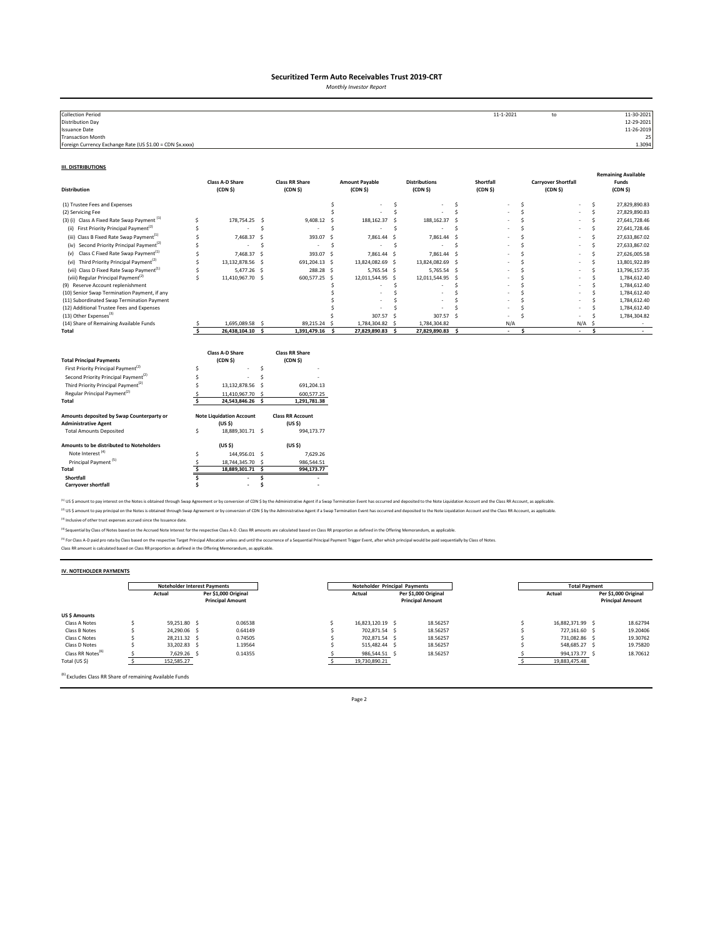*Monthly Investor Report*

| <b>Collection Period</b>                                  | 11-1-2021 | to | 11-30-2021 |
|-----------------------------------------------------------|-----------|----|------------|
| <b>Distribution Day</b>                                   |           |    | 12-29-2021 |
| Issuance Date                                             |           |    | 11-26-2019 |
| Transaction Month                                         |           |    | 25         |
| Foreign Currency Exchange Rate (US \$1.00 = CDN \$x.xxxx) |           |    | 1.3094     |
|                                                           |           |    |            |

#### **III. DISTRIBUTIONS**

| <b>Distribution</b>                                                                                                                                                                                                                            |        | <b>Class A-D Share</b><br>(CDN <sub>5</sub> )                                                   |                | <b>Class RR Share</b><br>(CDN <sub>5</sub> )                                             |     | <b>Amount Payable</b><br>(CDN <sub>5</sub> ) |    | <b>Distributions</b><br>(CDN S) |                     | Shortfall<br>(CDN <sub>5</sub> ) |              | <b>Carryover Shortfall</b><br>(CDN <sub>5</sub> ) |     | <b>Remaining Available</b><br>Funds<br>(CDN <sub>5</sub> ) |
|------------------------------------------------------------------------------------------------------------------------------------------------------------------------------------------------------------------------------------------------|--------|-------------------------------------------------------------------------------------------------|----------------|------------------------------------------------------------------------------------------|-----|----------------------------------------------|----|---------------------------------|---------------------|----------------------------------|--------------|---------------------------------------------------|-----|------------------------------------------------------------|
| (1) Trustee Fees and Expenses                                                                                                                                                                                                                  |        |                                                                                                 |                |                                                                                          | \$  |                                              | .s |                                 | Ŝ                   |                                  | Ŝ            |                                                   | s   | 27,829,890.83                                              |
| (2) Servicing Fee                                                                                                                                                                                                                              |        |                                                                                                 |                |                                                                                          |     |                                              | Ś  |                                 | Ś                   |                                  | <sup>s</sup> |                                                   | Ś   | 27,829,890.83                                              |
| (3) (i) Class A Fixed Rate Swap Payment <sup>(1)</sup>                                                                                                                                                                                         | Ś      | 178,754.25                                                                                      | -S             | 9,408.12                                                                                 | - 5 | 188,162.37                                   |    | 188,162.37 \$                   |                     |                                  |              |                                                   | Š.  | 27,641,728.46                                              |
| First Priority Principal Payment <sup>(2)</sup><br>(ii)                                                                                                                                                                                        | Ś      |                                                                                                 | Ś              | ٠                                                                                        | Ś   |                                              | .s |                                 | <b>S</b>            |                                  |              |                                                   | Ś   | 27,641,728.46                                              |
| (iii) Class B Fixed Rate Swap Payment <sup>(1)</sup>                                                                                                                                                                                           |        | 7,468.37                                                                                        | .S             | 393.07                                                                                   | s.  | 7,861.44 \$                                  |    | 7,861.44                        | $\ddot{\mathsf{s}}$ |                                  |              |                                                   | Ś   | 27,633,867.02                                              |
| (iv) Second Priority Principal Payment <sup>(2)</sup>                                                                                                                                                                                          |        |                                                                                                 | Ŝ              | ٠                                                                                        | -S  |                                              | S. |                                 | .s                  |                                  |              |                                                   | Š.  | 27,633,867.02                                              |
| (v) Class C Fixed Rate Swap Payment <sup>(1)</sup>                                                                                                                                                                                             | Ś      | 7,468.37                                                                                        | -Ś             | 393.07 \$                                                                                |     | 7,861.44 \$                                  |    | 7,861.44 \$                     |                     |                                  |              |                                                   | Ś   | 27,626,005.58                                              |
| (vi) Third Priority Principal Payment <sup>(2)</sup>                                                                                                                                                                                           | Ś      | 13,132,878.56 \$                                                                                |                | 691,204.13 \$                                                                            |     | 13,824,082.69 \$                             |    | 13,824,082.69 \$                |                     |                                  |              |                                                   | Ś   | 13,801,922.89                                              |
| (vii) Class D Fixed Rate Swap Payment <sup>(1)</sup>                                                                                                                                                                                           | Ś      | 5,477.26 \$                                                                                     |                | 288.28 \$                                                                                |     | 5,765.54 \$                                  |    | 5,765.54 \$                     |                     |                                  |              |                                                   | Ś   | 13,796,157.35                                              |
| (viii) Regular Principal Payment <sup>(2)</sup>                                                                                                                                                                                                | Ś      | 11,410,967.70 \$                                                                                |                | 600,577.25 \$                                                                            |     | 12,011,544.95 \$                             |    | 12,011,544.95 \$                |                     |                                  |              |                                                   | ¢   | 1,784,612.40                                               |
| (9) Reserve Account replenishment                                                                                                                                                                                                              |        |                                                                                                 |                |                                                                                          |     |                                              | Ś  |                                 |                     |                                  |              |                                                   |     | 1,784,612.40                                               |
| (10) Senior Swap Termination Payment, if any<br>(11) Subordinated Swap Termination Payment                                                                                                                                                     |        |                                                                                                 |                |                                                                                          |     |                                              | Ś  |                                 |                     |                                  |              |                                                   |     | 1,784,612.40<br>1,784,612.40                               |
| (12) Additional Trustee Fees and Expenses                                                                                                                                                                                                      |        |                                                                                                 |                |                                                                                          |     |                                              |    |                                 |                     |                                  |              |                                                   |     | 1,784,612.40                                               |
| (13) Other Expenses <sup>(3)</sup>                                                                                                                                                                                                             |        |                                                                                                 |                |                                                                                          |     | 307.57 \$                                    |    | 307.57 S                        |                     |                                  |              |                                                   |     | 1,784,304.82                                               |
| (14) Share of Remaining Available Funds                                                                                                                                                                                                        |        | 1,695,089.58 \$                                                                                 |                | 89,215.24 \$                                                                             |     | 1,784,304.82 \$                              |    | 1,784,304.82                    |                     | N/A                              |              | N/A                                               | .S  |                                                            |
| Total                                                                                                                                                                                                                                          | Ŝ.     | 26,438,104.10                                                                                   | - Ś            | 1,391,479.16 \$                                                                          |     | 27,829,890.83                                | Ŝ. | 27,829,890.83 \$                |                     | ×.                               | Ś            | $\sim$                                            | \$. | $\sim$                                                     |
| <b>Total Principal Payments</b><br>First Priority Principal Payment <sup>(2)</sup><br>Second Priority Principal Payment <sup>(2)</sup><br>Third Priority Principal Payment <sup>(2)</sup><br>Regular Principal Payment <sup>(2)</sup><br>Total | Ś<br>Ŝ | Class A-D Share<br>(CDN <sub>5</sub> )<br>13,132,878.56<br>11,410,967.70 \$<br>24,543,846.26 \$ | Ś<br>\$.<br>-S | <b>Class RR Share</b><br>(CDN <sub>5</sub> )<br>691,204.13<br>600,577.25<br>1,291,781.38 |     |                                              |    |                                 |                     |                                  |              |                                                   |     |                                                            |
| Amounts deposited by Swap Counterparty or<br><b>Administrative Agent</b>                                                                                                                                                                       |        | <b>Note Liquidation Account</b><br>(US S)                                                       |                | <b>Class RR Account</b><br>(US <sub>5</sub> )                                            |     |                                              |    |                                 |                     |                                  |              |                                                   |     |                                                            |
| <b>Total Amounts Deposited</b>                                                                                                                                                                                                                 | \$     | 18,889,301.71 \$                                                                                |                | 994,173.77                                                                               |     |                                              |    |                                 |                     |                                  |              |                                                   |     |                                                            |
|                                                                                                                                                                                                                                                |        |                                                                                                 |                |                                                                                          |     |                                              |    |                                 |                     |                                  |              |                                                   |     |                                                            |
| Amounts to be distributed to Noteholders                                                                                                                                                                                                       |        | (US S)                                                                                          |                | (US S)                                                                                   |     |                                              |    |                                 |                     |                                  |              |                                                   |     |                                                            |
| Note Interest <sup>(4)</sup>                                                                                                                                                                                                                   | Ś      | 144,956.01 \$                                                                                   |                | 7,629.26                                                                                 |     |                                              |    |                                 |                     |                                  |              |                                                   |     |                                                            |
| Principal Payment <sup>(5)</sup>                                                                                                                                                                                                               | S      | 18,744,345.70 \$                                                                                |                | 986,544.51                                                                               |     |                                              |    |                                 |                     |                                  |              |                                                   |     |                                                            |
| Total                                                                                                                                                                                                                                          | Š.     | 18,889,301.71 \$                                                                                |                | 994,173.77                                                                               |     |                                              |    |                                 |                     |                                  |              |                                                   |     |                                                            |
| Shortfall                                                                                                                                                                                                                                      |        |                                                                                                 | Ś              |                                                                                          |     |                                              |    |                                 |                     |                                  |              |                                                   |     |                                                            |
| <b>Carryover shortfall</b>                                                                                                                                                                                                                     |        | $\overline{\phantom{a}}$                                                                        |                |                                                                                          |     |                                              |    |                                 |                     |                                  |              |                                                   |     |                                                            |

<sup>(1)</sup> US \$ amount to pay interest on the Notes is obtained through Swap Agreement or by conversion of CDN \$ by the Administrative Agent if a Swap Termination Event has occurred and deposited to the Note Liquidation Account <sup>(2)</sup> US \$ amount to pay principal on the Notes is obtained through Swap Agreement or by conversion of CDN \$ by the Administrative Agent if a Swap Termination Event has occurred and deposited to the Note Liquidation Accoun

(3) Inclusive of other trust expenses accrued since the Issuance date.

<sup>(4)</sup> Sequential by Class of Notes based on the Accrued Note Interest for the respective Class A-D. Class RR amounts are calculated based on Class RR proportion as defined in the Offering Memorandum, as applicable.

<sup>P)</sup> For Class A-D paid pro rata by Class based on the respective Target Principal Allocation unless and until the occurrence of a Sequential Principal Payment Trigger Event, after which principal would be paid sequentiall

### **IV. NOTEHOLDER PAYMENTS**

|                               | Noteholder Interest Payments |                                                 | Noteholder Principal Payments |                  |  |                                                 | <b>Total Payment</b> |  |                                                 |  |  |
|-------------------------------|------------------------------|-------------------------------------------------|-------------------------------|------------------|--|-------------------------------------------------|----------------------|--|-------------------------------------------------|--|--|
|                               | Actual                       | Per \$1,000 Original<br><b>Principal Amount</b> |                               | Actual           |  | Per \$1,000 Original<br><b>Principal Amount</b> | Actual               |  | Per \$1,000 Original<br><b>Principal Amount</b> |  |  |
| US \$ Amounts                 |                              |                                                 |                               |                  |  |                                                 |                      |  |                                                 |  |  |
| Class A Notes                 | 59.251.80 S                  | 0.06538                                         |                               | 16.823.120.19 \$ |  | 18.56257                                        | 16.882.371.99 \$     |  | 18.62794                                        |  |  |
| Class B Notes                 | 24.290.06 S                  | 0.64149                                         |                               | 702.871.54 \$    |  | 18.56257                                        | 727.161.60 \$        |  | 19.20406                                        |  |  |
| Class C Notes                 | 28.211.32 \$                 | 0.74505                                         |                               | 702.871.54 \$    |  | 18.56257                                        | 731.082.86 \$        |  | 19.30762                                        |  |  |
| Class D Notes                 | 33.202.83 S                  | 1.19564                                         |                               | 515.482.44 \$    |  | 18.56257                                        | 548.685.27 \$        |  | 19.75820                                        |  |  |
| Class RR Notes <sup>(6)</sup> | 7,629.26 \$                  | 0.14355                                         |                               | 986,544.51 \$    |  | 18.56257                                        | 994,173.77 \$        |  | 18,70612                                        |  |  |
| Total (US \$)                 | 152,585.27                   |                                                 |                               | 19,730,890.21    |  |                                                 | 19,883,475.48        |  |                                                 |  |  |

(6) Excludes Class RR Share of remaining Available Funds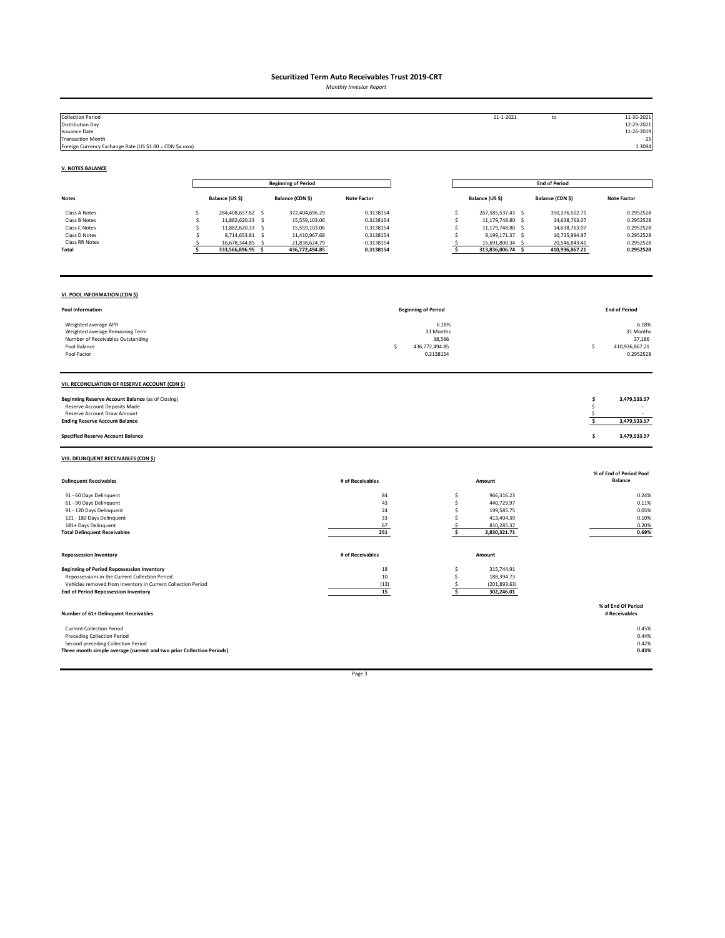*Monthly Investor Report*

| <b>Collection Period</b><br><b>Distribution Day</b><br><b>Issuance Date</b><br><b>Transaction Month</b>                                                                                                            |                                                                                                                                                           |                                                                                                      |                                                                            |                                                             | 11-1-2021                                                                                                             | to                                                                                                   | 11-30-2021<br>12-29-2021<br>11-26-2019<br>25                               |
|--------------------------------------------------------------------------------------------------------------------------------------------------------------------------------------------------------------------|-----------------------------------------------------------------------------------------------------------------------------------------------------------|------------------------------------------------------------------------------------------------------|----------------------------------------------------------------------------|-------------------------------------------------------------|-----------------------------------------------------------------------------------------------------------------------|------------------------------------------------------------------------------------------------------|----------------------------------------------------------------------------|
| Foreign Currency Exchange Rate (US \$1.00 = CDN \$x.xxxx)                                                                                                                                                          |                                                                                                                                                           |                                                                                                      |                                                                            |                                                             |                                                                                                                       |                                                                                                      | 1.3094                                                                     |
| <b>V. NOTES BALANCE</b>                                                                                                                                                                                            |                                                                                                                                                           |                                                                                                      |                                                                            |                                                             |                                                                                                                       |                                                                                                      |                                                                            |
|                                                                                                                                                                                                                    |                                                                                                                                                           | <b>Beginning of Period</b>                                                                           |                                                                            |                                                             |                                                                                                                       | <b>End of Period</b>                                                                                 |                                                                            |
| <b>Notes</b>                                                                                                                                                                                                       | Balance (US \$)                                                                                                                                           | Balance (CDN \$)                                                                                     | <b>Note Factor</b>                                                         |                                                             | Balance (US \$)                                                                                                       | Balance (CDN \$)                                                                                     | <b>Note Factor</b>                                                         |
| Class A Notes<br>Class B Notes<br>Class C Notes<br>Class D Notes<br>Class RR Notes<br>Total                                                                                                                        | \$<br>284,408,657.62 \$<br>\$<br>11,882,620.33 \$<br>\$<br>11,882,620.33 \$<br>8,714,653.81 \$<br>\$<br>16,678,344.85 \$<br>Ś<br>\$.<br>333,566,896.95 \$ | 372,404,696.29<br>15,559,103.06<br>15,559,103.06<br>11,410,967.68<br>21,838,624.79<br>436,772,494.85 | 0.3138154<br>0.3138154<br>0.3138154<br>0.3138154<br>0.3138154<br>0.3138154 | \$<br>\$<br>\$<br>\$<br>\$<br>\$                            | 267,585,537.43 \$<br>11,179,748.80 \$<br>11,179,748.80 \$<br>8,199,171.37 \$<br>15,691,800.34 \$<br>313,836,006.74 \$ | 350,376,502.71<br>14,638,763.07<br>14,638,763.07<br>10,735,994.97<br>20,546,843.41<br>410,936,867.21 | 0.2952528<br>0.2952528<br>0.2952528<br>0.2952528<br>0.2952528<br>0.2952528 |
| VI. POOL INFORMATION (CDN \$)                                                                                                                                                                                      |                                                                                                                                                           |                                                                                                      |                                                                            |                                                             |                                                                                                                       |                                                                                                      |                                                                            |
| Pool Information                                                                                                                                                                                                   |                                                                                                                                                           |                                                                                                      |                                                                            | <b>Beginning of Period</b>                                  |                                                                                                                       |                                                                                                      | <b>End of Period</b>                                                       |
| Weighted average APR<br>Weighted average Remaining Term<br>Number of Receivables Outstanding<br>Pool Balance<br>Pool Factor                                                                                        |                                                                                                                                                           |                                                                                                      | \$                                                                         | 6.18%<br>31 Months<br>38,566<br>436,772,494.85<br>0.3138154 |                                                                                                                       |                                                                                                      | 6.18%<br>31 Months<br>37,186<br>\$<br>410,936,867.21<br>0.2952528          |
| VII. RECONCILIATION OF RESERVE ACCOUNT (CDN \$)                                                                                                                                                                    |                                                                                                                                                           |                                                                                                      |                                                                            |                                                             |                                                                                                                       |                                                                                                      |                                                                            |
| Beginning Reserve Account Balance (as of Closing)<br>Reserve Account Deposits Made<br>Reserve Account Draw Amount<br><b>Ending Reserve Account Balance</b>                                                         |                                                                                                                                                           |                                                                                                      |                                                                            |                                                             |                                                                                                                       |                                                                                                      | \$<br>3,479,533.57<br>Ś<br>\$<br>\$<br>3,479,533.57                        |
| <b>Specified Reserve Account Balance</b>                                                                                                                                                                           |                                                                                                                                                           |                                                                                                      |                                                                            |                                                             |                                                                                                                       |                                                                                                      | \$<br>3,479,533.57                                                         |
| VIII. DELINQUENT RECEIVABLES (CDN \$)                                                                                                                                                                              |                                                                                                                                                           |                                                                                                      |                                                                            |                                                             |                                                                                                                       |                                                                                                      |                                                                            |
| <b>Delinquent Receivables</b>                                                                                                                                                                                      |                                                                                                                                                           |                                                                                                      | # of Receivables                                                           |                                                             | Amount                                                                                                                |                                                                                                      | % of End of Period Pool<br>Balance                                         |
| 31 - 60 Days Delinquent<br>61 - 90 Days Delinquent<br>91 - 120 Days Delinquent<br>121 - 180 Days Delinquent<br>181+ Days Delinquent<br><b>Total Delinquent Receivables</b>                                         |                                                                                                                                                           |                                                                                                      | 84<br>43<br>24<br>33<br>67<br>251                                          | \$<br>\$<br>\$<br>\$<br>-\$<br>\$                           | 966,316.23<br>440,729.97<br>199,585.75<br>413,404.39<br>810,285.37<br>2,830,321.71                                    |                                                                                                      | 0.24%<br>0.11%<br>0.05%<br>0.10%<br>0.20%<br>0.69%                         |
| <b>Repossession Inventory</b>                                                                                                                                                                                      |                                                                                                                                                           |                                                                                                      | # of Receivables                                                           |                                                             | Amount                                                                                                                |                                                                                                      |                                                                            |
| <b>Beginning of Period Repossession Inventory</b><br>Repossessions in the Current Collection Period<br>Vehicles removed from Inventory in Current Collection Period<br><b>End of Period Repossession Inventory</b> |                                                                                                                                                           |                                                                                                      | 18<br>10<br>(13)<br>15                                                     | \$<br>\$<br>-\$<br>\$                                       | 315,744.91<br>188,394.73<br>(201, 893.63)<br>302,246.01                                                               |                                                                                                      |                                                                            |
| Number of 61+ Delinquent Receivables                                                                                                                                                                               |                                                                                                                                                           |                                                                                                      |                                                                            |                                                             |                                                                                                                       |                                                                                                      | % of End Of Period<br># Receivables                                        |
| <b>Current Collection Period</b><br><b>Preceding Collection Period</b><br>Second preceding Collection Period<br>Three month simple average (current and two prior Collection Periods)                              |                                                                                                                                                           |                                                                                                      |                                                                            |                                                             |                                                                                                                       |                                                                                                      | 0.45%<br>0.44%<br>0.42%<br>0.43%                                           |